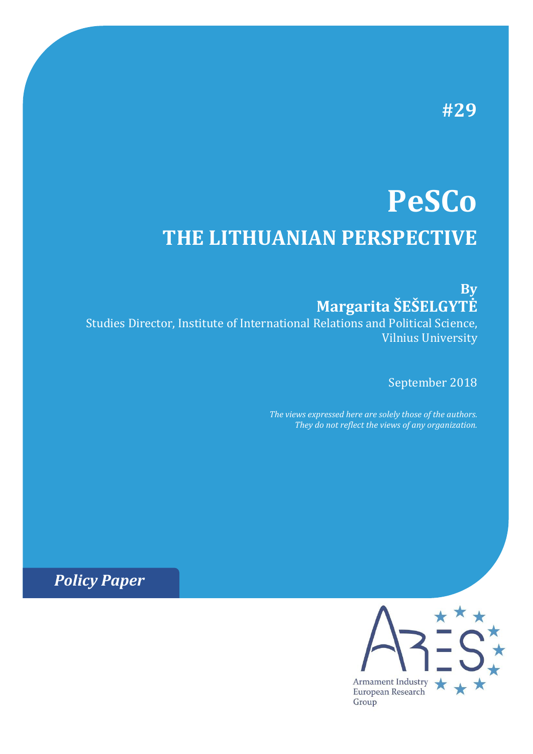# **#29**

# **PeSCo THE LITHUANIAN PERSPECTIVE**

**By Margarita ŠEŠELGYTĖ**

Studies Director, Institute of International Relations and Political Science, Vilnius University

September 2018

*The views expressed here are solely those of the authors. They do not reflect the views of any organization.*

*Policy Paper*

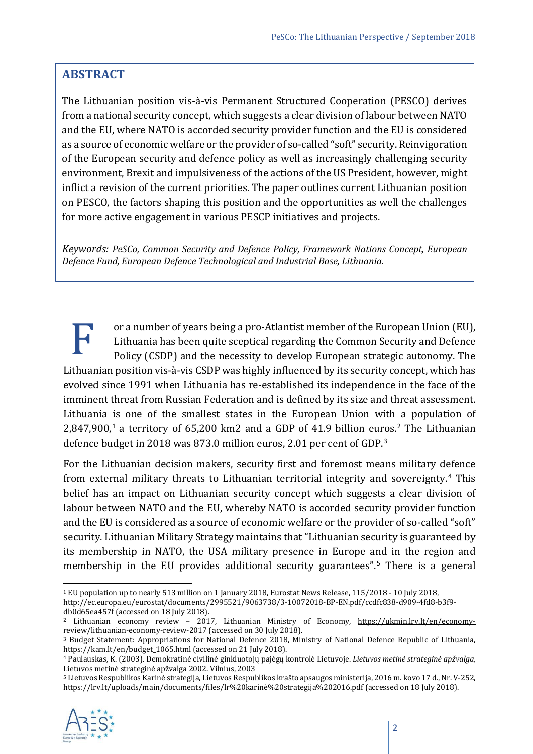## **ABSTRACT**

The Lithuanian position vis-à-vis Permanent Structured Cooperation (PESCO) derives from a national security concept, which suggests a clear division of labour between NATO and the EU, where NATO is accorded security provider function and the EU is considered as a source of economic welfare or the provider of so-called "soft" security. Reinvigoration of the European security and defence policy as well as increasingly challenging security environment, Brexit and impulsiveness of the actions of the US President, however, might inflict a revision of the current priorities. The paper outlines current Lithuanian position on PESCO, the factors shaping this position and the opportunities as well the challenges for more active engagement in various PESCP initiatives and projects.

*Keywords: PeSCo, Common Security and Defence Policy, Framework Nations Concept, European Defence Fund, European Defence Technological and Industrial Base, Lithuania.*

or a number of years being a pro-Atlantist member of the European Union (EU), Lithuania has been quite sceptical regarding the Common Security and Defence Policy (CSDP) and the necessity to develop European strategic autonomy. The Lithuania has been quite sceptical regarding the Common Security and Defence<br>Policy (CSDP) and the necessity to develop European strategic autonomy. The<br>Lithuanian position vis-à-vis CSDP was highly influenced by its secur evolved since 1991 when Lithuania has re-established its independence in the face of the imminent threat from Russian Federation and is defined by its size and threat assessment. Lithuania is one of the smallest states in the European Union with a population of 2,847,900, [1](#page-1-0) a territory of 65,200 km2 and a GDP of 41.9 billion euros. [2](#page-1-1) The Lithuanian defence budget in 2018 was 873.0 million euros, 2.01 per cent of GDP. [3](#page-1-2)

For the Lithuanian decision makers, security first and foremost means military defence from external military threats to Lithuanian territorial integrity and sovereignty.[4](#page-1-3) This belief has an impact on Lithuanian security concept which suggests a clear division of labour between NATO and the EU, whereby NATO is accorded security provider function and the EU is considered as a source of economic welfare or the provider of so-called "soft" security. Lithuanian Military Strategy maintains that "Lithuanian security is guaranteed by its membership in NATO, the USA military presence in Europe and in the region and membership in the EU provides additional security guarantees".<sup>[5](#page-1-4)</sup> There is a general

<span id="page-1-4"></span><span id="page-1-3"></span><sup>5</sup> Lietuvos Respublikos Karinė strategija, Lietuvos Respublikos krašto apsaugos ministerija, 2016 m. kovo 17 d., Nr. V-252, [https://lrv.lt/uploads/main/documents/files/lr%20karinė%20strategija%202016.pdf](https://lrv.lt/uploads/main/documents/files/lr%20karin%C4%97%20strategija%202016.pdf) (accessed on 18 July 2018).



<span id="page-1-0"></span> <sup>1</sup> EU population up to nearly 513 million on 1 January 2018, Eurostat News Release, 115/2018 - 10 July 2018, http://ec.europa.eu/eurostat/documents/2995521/9063738/3-10072018-BP-EN.pdf/ccdfc838-d909-4fd8-b3f9 db0d65ea457f (accessed on 18 July 2018).

<span id="page-1-1"></span><sup>&</sup>lt;sup>2</sup> Lithuanian economy review - 2017, Lithuanian Ministry of Economy, [https://ukmin.lrv.lt/en/economy](https://ukmin.lrv.lt/en/economy-review/lithuanian-economy-review-2017)[review/lithuanian-economy-review-2017](https://ukmin.lrv.lt/en/economy-review/lithuanian-economy-review-2017) (accessed on 30 July 2018).

<span id="page-1-2"></span><sup>3</sup> Budget Statement: Appropriations for National Defence 2018, Ministry of National Defence Republic of Lithuania, https://kam.lt/en/budget 1065.html (accessed on 21 July 2018).

<sup>4</sup> Paulauskas, K. (2003). Demokratinė civilinė ginkluotojų pajėgų kontrolė Lietuvoje. *Lietuvos metinė strateginė apžvalga,*  Lietuvos metinė strateginė apžvalga 2002. Vilnius, 2003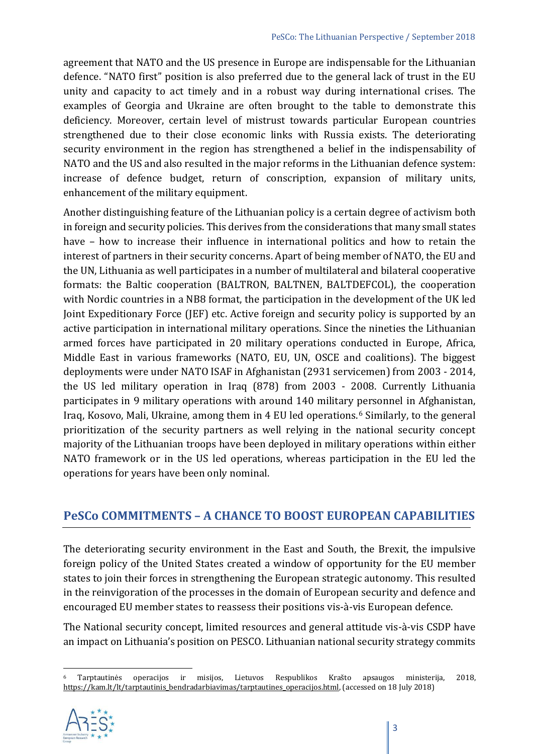agreement that NATO and the US presence in Europe are indispensable for the Lithuanian defence. "NATO first" position is also preferred due to the general lack of trust in the EU unity and capacity to act timely and in a robust way during international crises. The examples of Georgia and Ukraine are often brought to the table to demonstrate this deficiency. Moreover, certain level of mistrust towards particular European countries strengthened due to their close economic links with Russia exists. The deteriorating security environment in the region has strengthened a belief in the indispensability of NATO and the US and also resulted in the major reforms in the Lithuanian defence system: increase of defence budget, return of conscription, expansion of military units, enhancement of the military equipment.

Another distinguishing feature of the Lithuanian policy is a certain degree of activism both in foreign and security policies. This derives from the considerations that many small states have – how to increase their influence in international politics and how to retain the interest of partners in their security concerns. Apart of being member of NATO, the EU and the UN, Lithuania as well participates in a number of multilateral and bilateral cooperative formats: the Baltic cooperation (BALTRON, BALTNEN, BALTDEFCOL), the cooperation with Nordic countries in a NB8 format, the participation in the development of the UK led Joint Expeditionary Force (JEF) etc. Active foreign and security policy is supported by an active participation in international military operations. Since the nineties the Lithuanian armed forces have participated in 20 military operations conducted in Europe, Africa, Middle East in various frameworks (NATO, EU, UN, OSCE and coalitions). The biggest deployments were under NATO ISAF in Afghanistan (2931 servicemen) from 2003 - 2014, the US led military operation in Iraq (878) from 2003 - 2008. Currently Lithuania participates in 9 military operations with around 140 military [p](#page-2-0)ersonnel in Afghanistan, Iraq, Kosovo, Mali, Ukraine, among them in 4 EU led operations. <sup>6</sup> Similarly, to the general prioritization of the security partners as well relying in the national security concept majority of the Lithuanian troops have been deployed in military operations within either NATO framework or in the US led operations, whereas participation in the EU led the operations for years have been only nominal.

## **PeSCo COMMITMENTS – A CHANCE TO BOOST EUROPEAN CAPABILITIES**

The deteriorating security environment in the East and South, the Brexit, the impulsive foreign policy of the United States created a window of opportunity for the EU member states to join their forces in strengthening the European strategic autonomy. This resulted in the reinvigoration of the processes in the domain of European security and defence and encouraged EU member states to reassess their positions vis-à-vis European defence.

The National security concept, limited resources and general attitude vis-à-vis CSDP have an impact on Lithuania's position on PESCO. Lithuanian national security strategy commits

<span id="page-2-0"></span> <sup>6</sup> Tarptautinės operacijos ir misijos, Lietuvos Respublikos Krašto apsaugos ministerija, 2018, [https://kam.lt/lt/tarptautinis\\_bendradarbiavimas/tarptautines\\_operacijos.html](https://kam.lt/lt/tarptautinis_bendradarbiavimas/tarptautines_operacijos.html), (accessed on 18 July 2018)

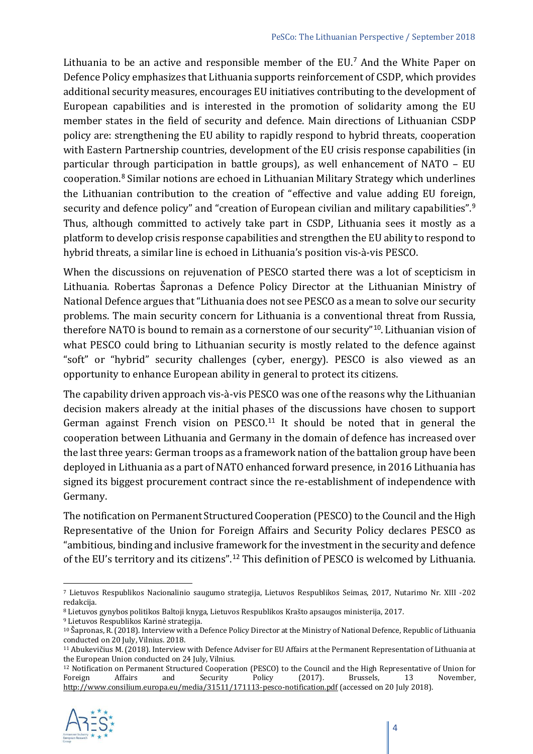Lithuania to be an active and responsible member of the EU.<sup>[7](#page-3-0)</sup> And the White Paper on Defence Policy emphasizes that Lithuania supports reinforcement of CSDP, which provides additional security measures, encourages EU initiatives contributing to the development of European capabilities and is interested in the promotion of solidarity among the EU member states in the field of security and defence. Main directions of Lithuanian CSDP policy are: strengthening the EU ability to rapidly respond to hybrid threats, cooperation with Eastern Partnership countries, development of the EU crisis response capabilities (in particular through participation in battle groups), as well enhancement of NATO – EU cooperation.[8](#page-3-1) Similar notions are echoed in Lithuanian Military Strategy which underlines the Lithuanian contribution to the creation of "effective and value adding EU foreign, security and defence policy" and "creation of European civilian and military capabilities". [9](#page-3-2) Thus, although committed to actively take part in CSDP, Lithuania sees it mostly as a platform to develop crisis response capabilities and strengthen the EU ability to respond to hybrid threats, a similar line is echoed in Lithuania's position vis-à-vis PESCO.

When the discussions on rejuvenation of PESCO started there was a lot of scepticism in Lithuania. Robertas Šapronas a Defence Policy Director at the Lithuanian Ministry of National Defence argues that "Lithuania does not see PESCO as a mean to solve our security problems. The main security concern for Lithuania is a conventional threat from Russia, therefore NATO is bound to remain as a cornerstone of our security"<sup>[10](#page-3-3)</sup>. Lithuanian vision of what PESCO could bring to Lithuanian security is mostly related to the defence against "soft" or "hybrid" security challenges (cyber, energy). PESCO is also viewed as an opportunity to enhance European ability in general to protect its citizens.

The capability driven approach vis-à-vis PESCO was one of the reasons why the Lithuanian decision makers already at the initial phases of the discussions have chosen to support German against French vision on PESCO.<sup>[11](#page-3-4)</sup> It should be noted that in general the cooperation between Lithuania and Germany in the domain of defence has increased over the last three years: German troops as a framework nation of the battalion group have been deployed in Lithuania as a part of NATO enhanced forward presence, in 2016 Lithuania has signed its biggest procurement contract since the re-establishment of independence with Germany.

The notification on Permanent Structured Cooperation (PESCO) to the Council and the High Representative of the Union for Foreign Affairs and Security Policy declares PESCO as "ambitious, binding and inclusive framework for the investment in the security and defence of the EU's territory and its citizens".[12](#page-3-5) This definition of PESCO is welcomed by Lithuania.

<span id="page-3-5"></span><sup>&</sup>lt;sup>12</sup> Notification on Permanent Structured Cooperation (PESCO) to the Council and the High Representative of Union for Foreign Affairs and Security Policy (2017). Brussels, 13 November, Foreign Affairs and Security Policy (2017). Brussels, 13 November, <http://www.consilium.europa.eu/media/31511/171113-pesco-notification.pdf> (accessed on 20 July 2018).



<span id="page-3-0"></span> <sup>7</sup> Lietuvos Respublikos Nacionalinio saugumo strategija, Lietuvos Respublikos Seimas, 2017, Nutarimo Nr. XIII -202 redakcija.

<span id="page-3-1"></span><sup>8</sup> Lietuvos gynybos politikos Baltoji knyga, Lietuvos Respublikos Krašto apsaugos ministerija, 2017.

<span id="page-3-2"></span><sup>9</sup> Lietuvos Respublikos Karinė strategija.

<span id="page-3-3"></span><sup>10</sup> Šapronas, R. (2018). Interview with a Defence Policy Director at the Ministry of National Defence, Republic of Lithuania conducted on 20 July, Vilnius. 2018.

<span id="page-3-4"></span><sup>11</sup> Abukevičius M. (2018). Interview with Defence Adviser for EU Affairs at the Permanent Representation of Lithuania at the European Union conducted on 24 July, Vilnius.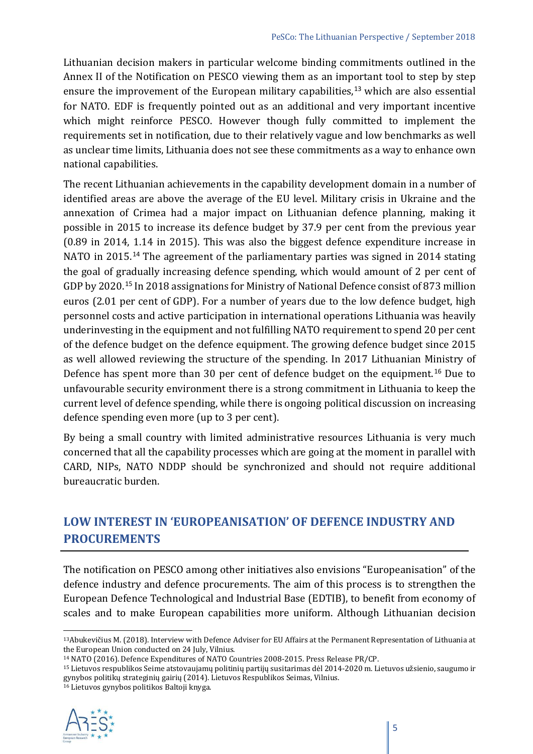Lithuanian decision makers in particular welcome binding commitments outlined in the Annex II of the Notification on PESCO viewing them as an important tool to step by step ensure the improvement of the European military capabilities, [13](#page-4-0) which are also essential for NATO. EDF is frequently pointed out as an additional and very important incentive which might reinforce PESCO. However though fully committed to implement the requirements set in notification, due to their relatively vague and low benchmarks as well as unclear time limits, Lithuania does not see these commitments as a way to enhance own national capabilities.

The recent Lithuanian achievements in the capability development domain in a number of identified areas are above the average of the EU level. Military crisis in Ukraine and the annexation of Crimea had a major impact on Lithuanian defence planning, making it possible in 2015 to increase its defence budget by 37.9 per cent from the previous year (0.89 in 2014, 1.14 in 2015). This was also the biggest defence expenditure increase in NATO in 2015.<sup>[14](#page-4-1)</sup> The agreement of the parliamentary parties was signed in 2014 stating the goal of gradually increasing defence spending, which would amount of 2 per cent of GDP by 2020.[15](#page-4-2) In 2018 assignations for Ministry of National Defence consist of 873 million euros (2.01 per cent of GDP). For a number of years due to the low defence budget, high personnel costs and active participation in international operations Lithuania was heavily underinvesting in the equipment and not fulfilling NATO requirement to spend 20 per cent of the defence budget on the defence equipment. The growing defence budget since 2015 as well allowed reviewing the structure of the spending. In 2017 Lithuanian Ministry of Defence has spent more than 30 per cent of defence budget on the equipment. [16](#page-4-3) Due to unfavourable security environment there is a strong commitment in Lithuania to keep the current level of defence spending, while there is ongoing political discussion on increasing defence spending even more (up to 3 per cent).

By being a small country with limited administrative resources Lithuania is very much concerned that all the capability processes which are going at the moment in parallel with CARD, NIPs, NATO NDDP should be synchronized and should not require additional bureaucratic burden.

## **LOW INTEREST IN 'EUROPEANISATION' OF DEFENCE INDUSTRY AND PROCUREMENTS**

The notification on PESCO among other initiatives also envisions "Europeanisation" of the defence industry and defence procurements. The aim of this process is to strengthen the European Defence Technological and Industrial Base (EDTIB), to benefit from economy of scales and to make European capabilities more uniform. Although Lithuanian decision

<span id="page-4-3"></span><span id="page-4-2"></span><sup>16</sup> Lietuvos gynybos politikos Baltoji knyga.



<span id="page-4-0"></span> <sup>13</sup>Abukevičius M. (2018). Interview with Defence Adviser for EU Affairs at the Permanent Representation of Lithuania at the European Union conducted on 24 July, Vilnius.<br><sup>14</sup> NATO (2016). Defence Expenditures of NATO Countries 2008-2015. Press Release PR/CP.

<span id="page-4-1"></span>

<sup>&</sup>lt;sup>15</sup> Lietuvos respublikos Seime atstovaujamų politinių partijų susitarimas dėl 2014-2020 m. Lietuvos užsienio, saugumo ir gynybos politikų strateginių gairių (2014). Lietuvos Respublikos Seimas, Vilnius.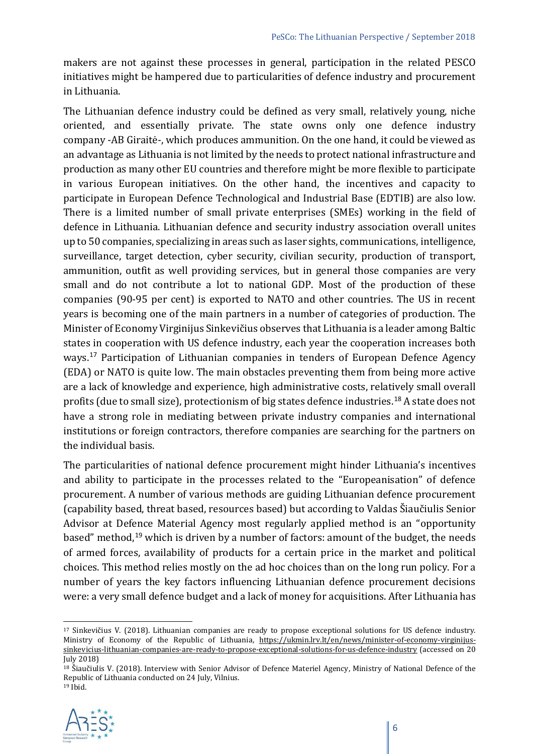makers are not against these processes in general, participation in the related PESCO initiatives might be hampered due to particularities of defence industry and procurement in Lithuania.

The Lithuanian defence industry could be defined as very small, relatively young, niche oriented, and essentially private. The state owns only one defence industry company -AB Giraitė-, which produces ammunition. On the one hand, it could be viewed as an advantage as Lithuania is not limited by the needs to protect national infrastructure and production as many other EU countries and therefore might be more flexible to participate in various European initiatives. On the other hand, the incentives and capacity to participate in European Defence Technological and Industrial Base (EDTIB) are also low. There is a limited number of small private enterprises (SMEs) working in the field of defence in Lithuania. Lithuanian defence and security industry association overall unites up to 50 companies, specializing in areas such as laser sights, communications, intelligence, surveillance, target detection, cyber security, civilian security, production of transport, ammunition, outfit as well providing services, but in general those companies are very small and do not contribute a lot to national GDP. Most of the production of these companies (90-95 per cent) is exported to NATO and other countries. The US in recent years is becoming one of the main partners in a number of categories of production. The Minister of Economy Virginijus Sinkevičius observes that Lithuania is a leader among Baltic states in cooperation with US defence industry, each year the cooperation increases both ways.[17](#page-5-0) Participation of Lithuanian companies in tenders of European Defence Agency (EDA) or NATO is quite low. The main obstacles preventing them from being more active are a lack of knowledge and experience, high administrative costs, relatively small overall profits (due to small size), protectionism of big states defence industries.<sup>[18](#page-5-1)</sup> A state does not have a strong role in mediating between private industry companies and international institutions or foreign contractors, therefore companies are searching for the partners on the individual basis.

The particularities of national defence procurement might hinder Lithuania's incentives and ability to participate in the processes related to the "Europeanisation" of defence procurement. A number of various methods are guiding Lithuanian defence procurement (capability based, threat based, resources based) but according to Valdas Šiaučiulis Senior Advisor at Defence Material Agency most regularly applied method is an "opportunity based" method,<sup>[19](#page-5-2)</sup> which is driven by a number of factors: amount of the budget, the needs of armed forces, availability of products for a certain price in the market and political choices. This method relies mostly on the ad hoc choices than on the long run policy. For a number of years the key factors influencing Lithuanian defence procurement decisions were: a very small defence budget and a lack of money for acquisitions. After Lithuania has

<span id="page-5-2"></span><span id="page-5-1"></span><sup>19</sup> Ibid.



<span id="page-5-0"></span> <sup>17</sup> Sinkevičius V. (2018). Lithuanian companies are ready to propose exceptional solutions for US defence industry. Ministry of Economy of the Republic of Lithuania, [https://ukmin.lrv.lt/en/news/minister-of-economy-](https://ukmin.lrv.lt/en/news/minister-of-economy-virginijus-sinkevicius-lithuanian-companies-are-ready-to-propose-exceptional-solutions-for-us-defence-industry)virginijus[sinkevicius-lithuanian-companies-are-ready-to-propose-exceptional-solutions-for-us-defence-industry](https://ukmin.lrv.lt/en/news/minister-of-economy-virginijus-sinkevicius-lithuanian-companies-are-ready-to-propose-exceptional-solutions-for-us-defence-industry) (accessed on 20 July 2018)

<sup>18</sup> Šiaučiulis V. (2018). Interview with Senior Advisor of Defence Materiel Agency, Ministry of National Defence of the Republic of Lithuania conducted on 24 July, Vilnius.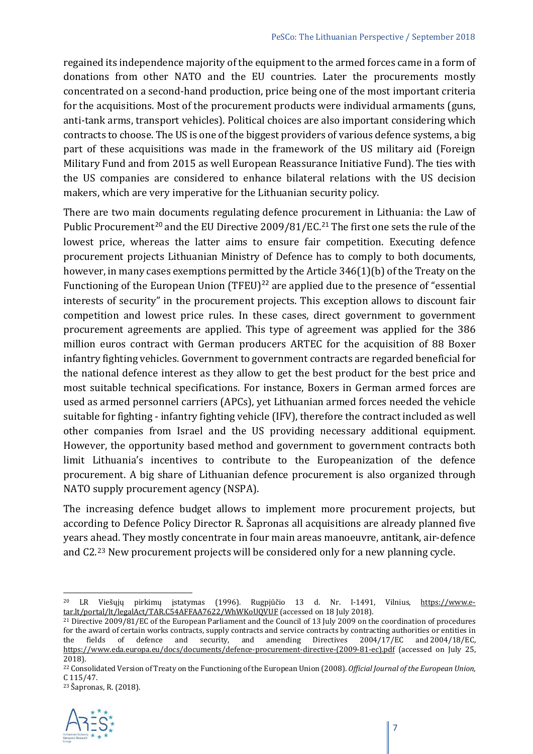regained its independence majority of the equipment to the armed forces came in a form of donations from other NATO and the EU countries. Later the procurements mostly concentrated on a second-hand production, price being one of the most important criteria for the acquisitions. Most of the procurement products were individual armaments (guns, anti-tank arms, transport vehicles). Political choices are also important considering which contracts to choose. The US is one of the biggest providers of various defence systems, a big part of these acquisitions was made in the framework of the US military aid (Foreign Military Fund and from 2015 as well European Reassurance Initiative Fund). The ties with the US companies are considered to enhance bilateral relations with the US decision makers, which are very imperative for the Lithuanian security policy.

There are two main documents regulating defence procurement in Lithuania: the Law of Public Procurement<sup>[20](#page-6-0)</sup> and the EU Directive 2009/81/EC.<sup>[21](#page-6-1)</sup> The first one sets the rule of the lowest price, whereas the latter aims to ensure fair competition. Executing defence procurement projects Lithuanian Ministry of Defence has to comply to both documents, however, in many cases exemptions permitted by the Article 346(1)(b) of the Treaty on the Functioning of the European Union (TFEU)<sup>[22](#page-6-2)</sup> are applied due to the presence of "essential interests of security" in the procurement projects. This exception allows to discount fair competition and lowest price rules. In these cases, direct government to government procurement agreements are applied. This type of agreement was applied for the 386 million euros contract with German producers ARTEC for the acquisition of 88 Boxer infantry fighting vehicles. Government to government contracts are regarded beneficial for the national defence interest as they allow to get the best product for the best price and most suitable technical specifications. For instance, Boxers in German armed forces are used as armed personnel carriers (APCs), yet Lithuanian armed forces needed the vehicle suitable for fighting - infantry fighting vehicle (IFV), therefore the contract included as well other companies from Israel and the US providing necessary additional equipment. However, the opportunity based method and government to government contracts both limit Lithuania's incentives to contribute to the Europeanization of the defence procurement. A big share of Lithuanian defence procurement is also organized through NATO supply procurement agency (NSPA).

The increasing defence budget allows to implement more procurement projects, but according to Defence Policy Director R. Šapronas all acquisitions are already planned five years ahead. They mostly concentrate in four main areas manoeuvre, antitank, air-defence and C2.[23](#page-6-3) New procurement projects will be considered only for a new planning cycle.

<span id="page-6-3"></span><span id="page-6-2"></span><sup>23</sup> Šapronas, R. (2018).



<span id="page-6-0"></span><sup>&</sup>lt;sup>20</sup> LR Viešųjų pirkimų įstatymas (1996). Rugpjūčio 13 d. Nr. I-1491, Vilnius, [https://www.e](https://www.e-tar.lt/portal/lt/legalAct/TAR.C54AFFAA7622/WhWKoUQVUF)[tar.lt/portal/lt/legalAct/TAR.C54AFFAA7622/WhWKoUQVUF](https://www.e-tar.lt/portal/lt/legalAct/TAR.C54AFFAA7622/WhWKoUQVUF) (accessed on 18 July 2018).

<span id="page-6-1"></span><sup>21</sup> Directive 2009/81/EC of the European Parliament and the Council of 13 July 2009 on the coordination of procedures for the award of certain works contracts, supply contracts and service contracts by contracting authorities or entities in the fields of defence and security, and amending Directives 2004/17/EC and 2004/18/EC, and amending Directives  $2004/17/EC$ [https://www.eda.europa.eu/docs/documents/defence-procurement-directive-\(2009-81-ec\).pdf](https://www.eda.europa.eu/docs/documents/defence-procurement-directive-(2009-81-ec).pdf) (accessed on July 25, 2018).

<sup>22</sup> Consolidated Version of Treaty on the Functioning of the European Union (2008). *Official Journal of the European Union,*  C 115/47.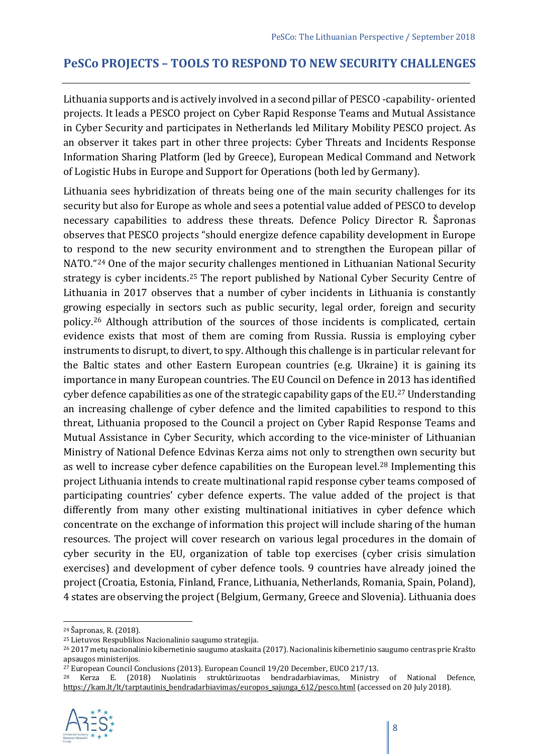#### **PeSCo PROJECTS – TOOLS TO RESPOND TO NEW SECURITY CHALLENGES**

Lithuania supports and is actively involved in a second pillar of PESCO -capability- oriented projects. It leads a PESCO project on Cyber Rapid Response Teams and Mutual Assistance in Cyber Security and participates in Netherlands led Military Mobility PESCO project. As an observer it takes part in other three projects: Cyber Threats and Incidents Response Information Sharing Platform (led by Greece), European Medical Command and Network of Logistic Hubs in Europe and Support for Operations (both led by Germany).

Lithuania sees hybridization of threats being one of the main security challenges for its security but also for Europe as whole and sees a potential value added of PESCO to develop necessary capabilities to address these threats. Defence Policy Director R. Šapronas observes that PESCO projects "should energize defence capability development in Europe to respond to the new security environment and to strengthen the European pillar of NATO."[24](#page-7-0) One of the major security challenges mentioned in Lithuanian National Security strategy is cyber incidents.<sup>[25](#page-7-1)</sup> The report published by National Cyber Security Centre of Lithuania in 2017 observes that a number of cyber incidents in Lithuania is constantly growing especially in sectors such as public security, legal order, foreign and security policy.[26](#page-7-2) Although attribution of the sources of those incidents is complicated, certain evidence exists that most of them are coming from Russia. Russia is employing cyber instruments to disrupt, to divert, to spy. Although this challenge is in particular relevant for the Baltic states and other Eastern European countries (e.g. Ukraine) it is gaining its importance in many European countries. The EU Council on Defence in 2013 has identified cyber defence capabilities as one of the strategic capability gaps of the EU.<sup>[27](#page-7-3)</sup> Understanding an increasing challenge of cyber defence and the limited capabilities to respond to this threat, Lithuania proposed to the Council a project on Cyber Rapid Response Teams and Mutual Assistance in Cyber Security, which according to the vice-minister of Lithuanian Ministry of National Defence Edvinas Kerza aims not only to strengthen own security but as well to increase cyber defence capabilities on the European level.<sup>[28](#page-7-4)</sup> Implementing this project Lithuania intends to create multinational rapid response cyber teams composed of participating countries' cyber defence experts. The value added of the project is that differently from many other existing multinational initiatives in cyber defence which concentrate on the exchange of information this project will include sharing of the human resources. The project will cover research on various legal procedures in the domain of cyber security in the EU, organization of table top exercises (cyber crisis simulation exercises) and development of cyber defence tools. 9 countries have already joined the project (Croatia, Estonia, Finland, France, Lithuania, Netherlands, Romania, Spain, Poland), 4 states are observing the project (Belgium, Germany, Greece and Slovenia). Lithuania does

<span id="page-7-4"></span><span id="page-7-3"></span><sup>&</sup>lt;sup>28</sup> Kerza E. (2018) Nuolatinis struktūrizuotas bendradarbiavimas, Ministry of National Defence, [https://kam.lt/lt/tarptautinis\\_bendradarbiavimas/europos\\_sajunga\\_612/pesco.html](https://kam.lt/lt/tarptautinis_bendradarbiavimas/europos_sajunga_612/pesco.html) (accessed on 20 July 2018).



<span id="page-7-0"></span> <sup>24</sup> Šapronas, R. (2018).

<span id="page-7-1"></span><sup>25</sup> Lietuvos Respublikos Nacionalinio saugumo strategija.

<span id="page-7-2"></span><sup>26</sup> 2017 metų nacionalinio kibernetinio saugumo ataskaita (2017). Nacionalinis kibernetinio saugumo centras prie Krašto apsaugos ministerijos.<br><sup>27</sup> European Council Conclusions (2013). European Council 19/20 December, EUCO 217/13.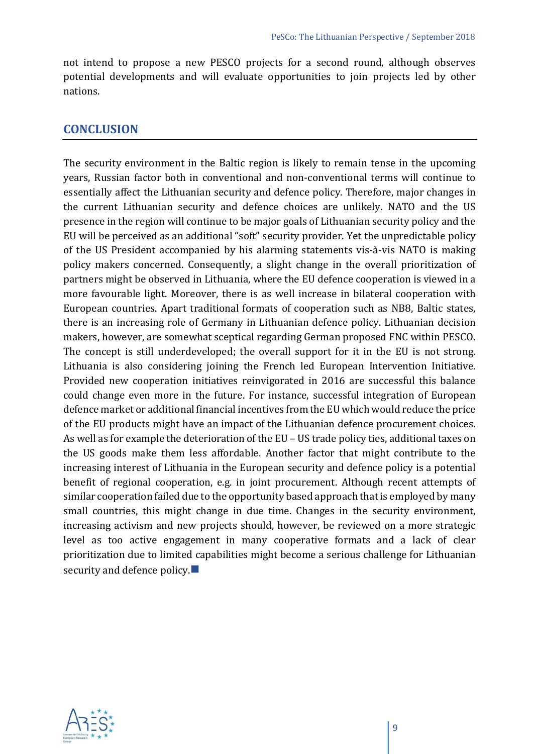not intend to propose a new PESCO projects for a second round, although observes potential developments and will evaluate opportunities to join projects led by other nations.

#### **CONCLUSION**

The security environment in the Baltic region is likely to remain tense in the upcoming years, Russian factor both in conventional and non-conventional terms will continue to essentially affect the Lithuanian security and defence policy. Therefore, major changes in the current Lithuanian security and defence choices are unlikely. NATO and the US presence in the region will continue to be major goals of Lithuanian security policy and the EU will be perceived as an additional "soft" security provider. Yet the unpredictable policy of the US President accompanied by his alarming statements vis-à-vis NATO is making policy makers concerned. Consequently, a slight change in the overall prioritization of partners might be observed in Lithuania, where the EU defence cooperation is viewed in a more favourable light. Moreover, there is as well increase in bilateral cooperation with European countries. Apart traditional formats of cooperation such as NB8, Baltic states, there is an increasing role of Germany in Lithuanian defence policy. Lithuanian decision makers, however, are somewhat sceptical regarding German proposed FNC within PESCO. The concept is still underdeveloped; the overall support for it in the EU is not strong. Lithuania is also considering joining the French led European Intervention Initiative. Provided new cooperation initiatives reinvigorated in 2016 are successful this balance could change even more in the future. For instance, successful integration of European defence market or additional financial incentives from the EU which would reduce the price of the EU products might have an impact of the Lithuanian defence procurement choices. As well as for example the deterioration of the EU – US trade policy ties, additional taxes on the US goods make them less affordable. Another factor that might contribute to the increasing interest of Lithuania in the European security and defence policy is a potential benefit of regional cooperation, e.g. in joint procurement. Although recent attempts of similar cooperation failed due to the opportunity based approach that is employed by many small countries, this might change in due time. Changes in the security environment, increasing activism and new projects should, however, be reviewed on a more strategic level as too active engagement in many cooperative formats and a lack of clear prioritization due to limited capabilities might become a serious challenge for Lithuanian security and defence policy.

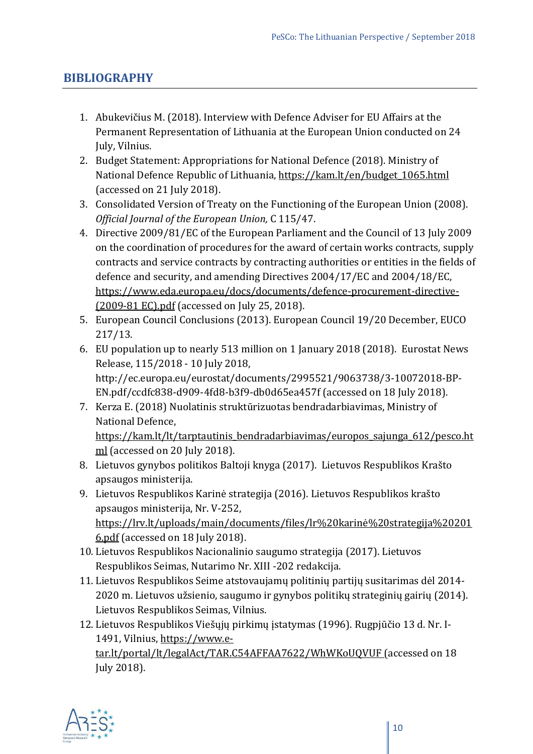## **BIBLIOGRAPHY**

- 1. Abukevičius M. (2018). Interview with Defence Adviser for EU Affairs at the Permanent Representation of Lithuania at the European Union conducted on 24 July, Vilnius.
- 2. Budget Statement: Appropriations for National Defence (2018). Ministry of National Defence Republic of Lithuania, https://kam.lt/en/budget 1065.html (accessed on 21 July 2018).
- 3. Consolidated Version of Treaty on the Functioning of the European Union (2008). *Official Journal of the European Union,* C 115/47.
- 4. Directive 2009/81/EC of the European Parliament and the Council of 13 July 2009 on the coordination of procedures for the award of certain works contracts, supply contracts and service contracts by contracting authorities or entities in the fields of defence and security, and amending Directives 2004/17/EC and 2004/18/EC, [https://www.eda.europa.eu/docs/documents/defence-procurement-directive-](https://www.eda.europa.eu/docs/documents/defence-procurement-directive-(2009-81-ec).pdf) [\(2009-81 EC\).pdf](https://www.eda.europa.eu/docs/documents/defence-procurement-directive-(2009-81-ec).pdf) (accessed on July 25, 2018).
- 5. European Council Conclusions (2013). European Council 19/20 December, EUCO 217/13.
- 6. EU population up to nearly 513 million on 1 January 2018 (2018). Eurostat News Release, 115/2018 - 10 July 2018, http://ec.europa.eu/eurostat/documents/2995521/9063738/3-10072018-BP-EN.pdf/ccdfc838-d909-4fd8-b3f9-db0d65ea457f (accessed on 18 July 2018).
- 7. Kerza E. (2018) Nuolatinis struktūrizuotas bendradarbiavimas, Ministry of National Defence, [https://kam.lt/lt/tarptautinis\\_bendradarbiavimas/europos\\_sajunga\\_612/pesco.h](https://kam.lt/lt/tarptautinis_bendradarbiavimas/europos_sajunga_612/pesco.html)t [ml](https://kam.lt/lt/tarptautinis_bendradarbiavimas/europos_sajunga_612/pesco.html) (accessed on 20 July 2018).
- 8. Lietuvos gynybos politikos Baltoji knyga (2017). Lietuvos Respublikos Krašto apsaugos ministerija.
- 9. Lietuvos Respublikos Karinė strategija (2016). Lietuvos Respublikos krašto apsaugos ministerija, Nr. V-252, [https://lrv.lt/uploads/main/documents/files/lr%20karinė%20strategija%20201](https://lrv.lt/uploads/main/documents/files/lr%20karin%C4%97%20strategija%202016.pdf) [6.pdf](https://lrv.lt/uploads/main/documents/files/lr%20karin%C4%97%20strategija%202016.pdf) (accessed on 18 July 2018).
- 10. Lietuvos Respublikos Nacionalinio saugumo strategija (2017). Lietuvos Respublikos Seimas, Nutarimo Nr. XIII -202 redakcija.
- 11. Lietuvos Respublikos Seime atstovaujamų politinių partijų susitarimas dėl 2014- 2020 m. Lietuvos užsienio, saugumo ir gynybos politikų strateginių gairių (2014). Lietuvos Respublikos Seimas, Vilnius.

12. Lietuvos Respublikos Viešųjų pirkimų įstatymas (1996). Rugpjūčio 13 d. Nr. I1491, Vilnius, [https://www.e](https://www.e-tar.lt/portal/lt/legalAct/TAR.C54AFFAA7622/WhWKoUQVUF)[tar.lt/portal/lt/legalAct/TAR.C54AFFAA7622/WhWKoUQVUF](https://www.e-tar.lt/portal/lt/legalAct/TAR.C54AFFAA7622/WhWKoUQVUF) (accessed on 18 July 2018).

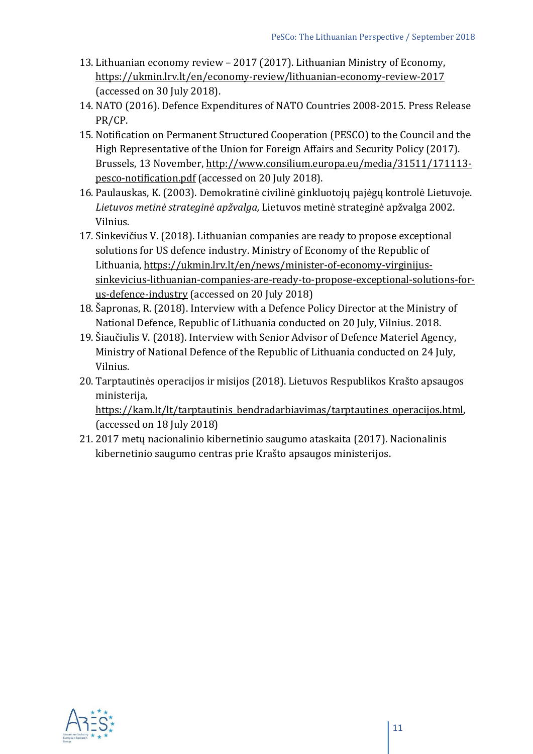- 13. Lithuanian economy review 2017 (2017). Lithuanian Ministry of Economy, <https://ukmin.lrv.lt/en/economy-review/lithuanian-economy-review-2017> (accessed on 30 July 2018).
- 14. NATO (2016). Defence Expenditures of NATO Countries 2008-2015. Press Release PR/CP.
- 15. Notification on Permanent Structured Cooperation (PESCO) to the Council and the High Representative of the Union for Foreign Affairs and Security Policy (2017). Brussels, 13 November, [http://www.consilium.europa.eu/media/31511/171113](http://www.consilium.europa.eu/media/31511/171113-pesco-notification.pdf) [pesco-notification.pdf](http://www.consilium.europa.eu/media/31511/171113-pesco-notification.pdf) (accessed on 20 July 2018).
- 16. Paulauskas, K. (2003). Demokratinė civilinė ginkluotojų pajėgų kontrolė Lietuvoje. *Lietuvos metinė strateginė apžvalga,* Lietuvos metinė strateginė apžvalga 2002. Vilnius.
- 17. Sinkevičius V. (2018). Lithuanian companies are ready to propose exceptional solutions for US defence industry. Ministry of Economy of the Republic of Lithuania, [https://ukmin.lrv.lt/en/news/minister-of-economy-](https://ukmin.lrv.lt/en/news/minister-of-economy-virginijus-sinkevicius-lithuanian-companies-are-ready-to-propose-exceptional-solutions-for-us-defence-industry)virginijus[sinkevicius-lithuanian-companies-are-ready-to-propose-exceptional-solutions-for](https://ukmin.lrv.lt/en/news/minister-of-economy-virginijus-sinkevicius-lithuanian-companies-are-ready-to-propose-exceptional-solutions-for-us-defence-industry)[us-defence-industry](https://ukmin.lrv.lt/en/news/minister-of-economy-virginijus-sinkevicius-lithuanian-companies-are-ready-to-propose-exceptional-solutions-for-us-defence-industry) (accessed on 20 July 2018)
- 18. Šapronas, R. (2018). Interview with a Defence Policy Director at the Ministry of National Defence, Republic of Lithuania conducted on 20 July, Vilnius. 2018.
- 19. Šiaučiulis V. (2018). Interview with Senior Advisor of Defence Materiel Agency, Ministry of National Defence of the Republic of Lithuania conducted on 24 July, Vilnius.
- 20. Tarptautinės operacijos ir misijos (2018). Lietuvos Respublikos Krašto apsaugos ministerija,

[https://kam.lt/lt/tarptautinis\\_bendradarbiavimas/tarptautines\\_operacijos.html](https://kam.lt/lt/tarptautinis_bendradarbiavimas/tarptautines_operacijos.html), (accessed on 18 July 2018)

21. 2017 metų nacionalinio kibernetinio saugumo ataskaita (2017). Nacionalinis kibernetinio saugumo centras prie Krašto apsaugos ministerijos.